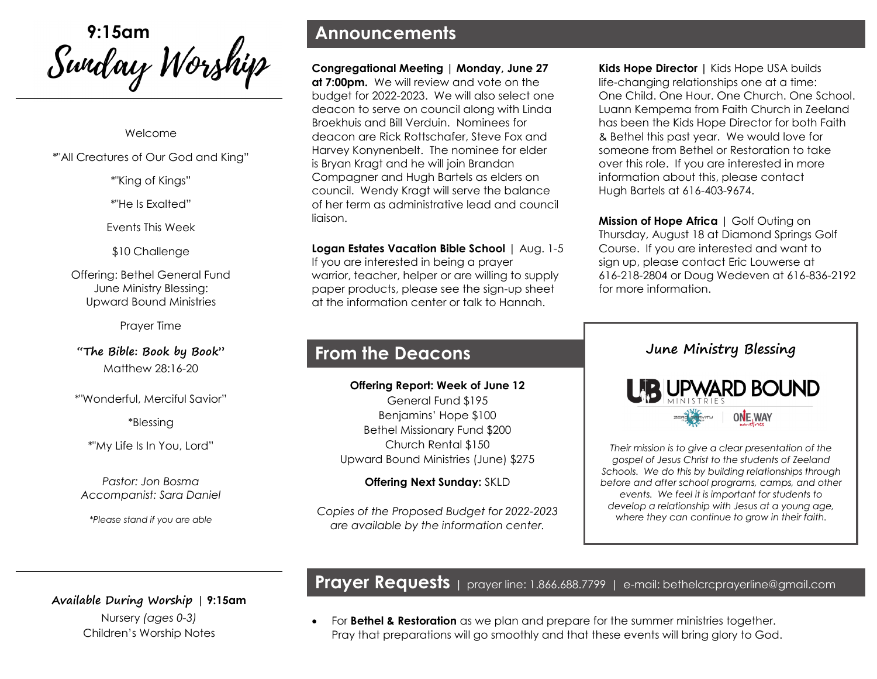<sup>9:15am</sup><br>*Swiday Worship* 

#### Welcome

\*"All Creatures of Our God and King"

#### \*"King of Kings"

\*"He Is Exalted"

Events This Week

\$10 Challenge

Offering: Bethel General Fund June Ministry Blessing: Upward Bound Ministries

Prayer Time

**"The Bible: Book by Book"** Matthew 28:16-20

\*"Wonderful, Merciful Savior"

\*Blessing

\*"My Life Is In You, Lord"

*Pastor: Jon Bosma Accompanist: Sara Daniel*

*\*Please stand if you are able*

### **Announcements**

**Congregational Meeting | Monday, June 27 at 7:00pm.** We will review and vote on the budget for 2022-2023. We will also select one deacon to serve on council along with Linda Broekhuis and Bill Verduin. Nominees for deacon are Rick Rottschafer, Steve Fox and Harvey Konynenbelt. The nominee for elder is Bryan Kragt and he will join Brandan Compagner and Hugh Bartels as elders on council. Wendy Kragt will serve the balance of her term as administrative lead and council liaison.

**Logan Estates Vacation Bible School** | Aug. 1-5 If you are interested in being a prayer warrior, teacher, helper or are willing to supply paper products, please see the sign-up sheet at the information center or talk to Hannah.

### **From the Deacons**

**Offering Report: Week of June 12** General Fund \$195 Benjamins' Hope \$100 Bethel Missionary Fund \$200 Church Rental \$150 Upward Bound Ministries (June) \$275

#### **Offering Next Sunday:** SKLD

*Copies of the Proposed Budget for 2022-2023 are available by the information center.*

**Kids Hope Director |** Kids Hope USA builds life-changing relationships one at a time: One Child. One Hour. One Church. One School. Luann Kempema from Faith Church in Zeeland has been the Kids Hope Director for both Faith & Bethel this past year. We would love for someone from Bethel or Restoration to take over this role. If you are interested in more information about this, please contact Hugh Bartels at 616-403-9674.

**Mission of Hope Africa** | Golf Outing on Thursday, August 18 at Diamond Springs Golf Course. If you are interested and want to sign up, please contact Eric Louwerse at 616-218-2804 or Doug Wedeven at 616-836-2192 for more information.



*Their mission is to give a clear presentation of the gospel of Jesus Christ to the students of Zeeland Schools. We do this by building relationships through before and after school programs, camps, and other events. We feel it is important for students to develop a relationship with Jesus at a young age, where they can continue to grow in their faith.* 

**Available During Worship | 9:15am**  Nursery *(ages 0-3)* Children's Worship Notes

# **Prayer Requests <sup>|</sup>** prayer line: 1.866.688.7799 <sup>|</sup> e-mail: bethelcrcprayerline@gmail.com

• For **Bethel & Restoration** as we plan and prepare for the summer ministries together. Pray that preparations will go smoothly and that these events will bring glory to God.